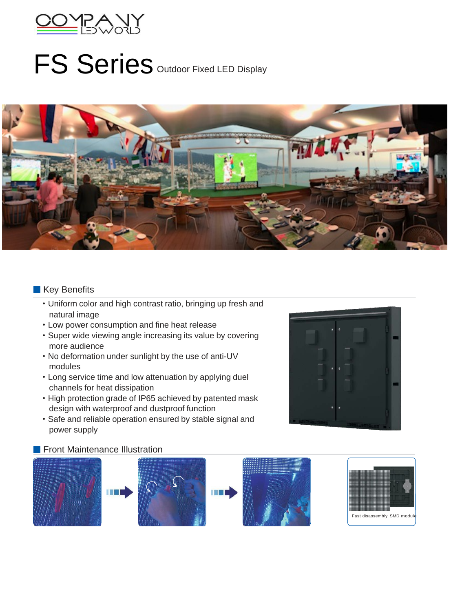

## FS Series Outdoor Fixed LED Display



## Key Benefits

- ·Uniform color and high contrast ratio, bringing up fresh and natural image
- ·Low power consumption and fine heat release
- ·Super wide viewing angle increasing its value by covering more audience
- ·No deformation under sunlight by the use of anti-UV modules
- ·Long service time and low attenuation by applying duel channels for heat dissipation
- ·High protection grade of IP65 achieved by patented mask design with waterproof and dustproof function
- ·Safe and reliable operation ensured by stable signal and power supply

## **Fichal** Front Maintenance Illustration